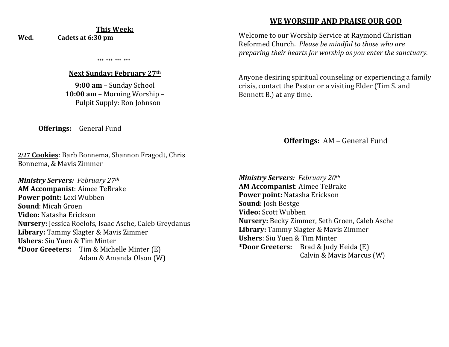#### **This Week: Wed. Cadets at 6:30 pm**

\*\*\* \*\*\* \*\*\* \*\*\*

#### **Next Sunday: February 27th**

**9:00 am** – Sunday School **10:00 am** – Morning Worship – Pulpit Supply: Ron Johnson

**Offerings:** General Fund

**2/27 Cookies**: Barb Bonnema, Shannon Fragodt, Chris Bonnema, & Mavis Zimmer

*Ministry Servers: February 27th*  **AM Accompanist**: Aimee TeBrake **Power point:** Lexi Wubben **Sound**: Micah Groen **Video:** Natasha Erickson **Nursery:** Jessica Roelofs, Isaac Asche, Caleb Greydanus **Library:** Tammy Slagter & Mavis Zimmer **Ushers**: Siu Yuen & Tim Minter **\*Door Greeters:** Tim & Michelle Minter (E) Adam & Amanda Olson (W)

## **WE WORSHIP AND PRAISE OUR GOD**

Welcome to our Worship Service at Raymond Christian Reformed Church. *Please be mindful to those who are preparing their hearts for worship as you enter the sanctuary.*

Anyone desiring spiritual counseling or experiencing a family crisis, contact the Pastor or a visiting Elder (Tim S. and Bennett B.) at any time.

**Offerings:** AM – General Fund

*Ministry Servers: February 20th*  **AM Accompanist**: Aimee TeBrake **Power point:** Natasha Erickson **Sound**: Josh Bestge **Video:** Scott Wubben **Nursery:** Becky Zimmer, Seth Groen, Caleb Asche **Library:** Tammy Slagter & Mavis Zimmer **Ushers**: Siu Yuen & Tim Minter **\*Door Greeters:** Brad & Judy Heida (E) Calvin & Mavis Marcus (W)